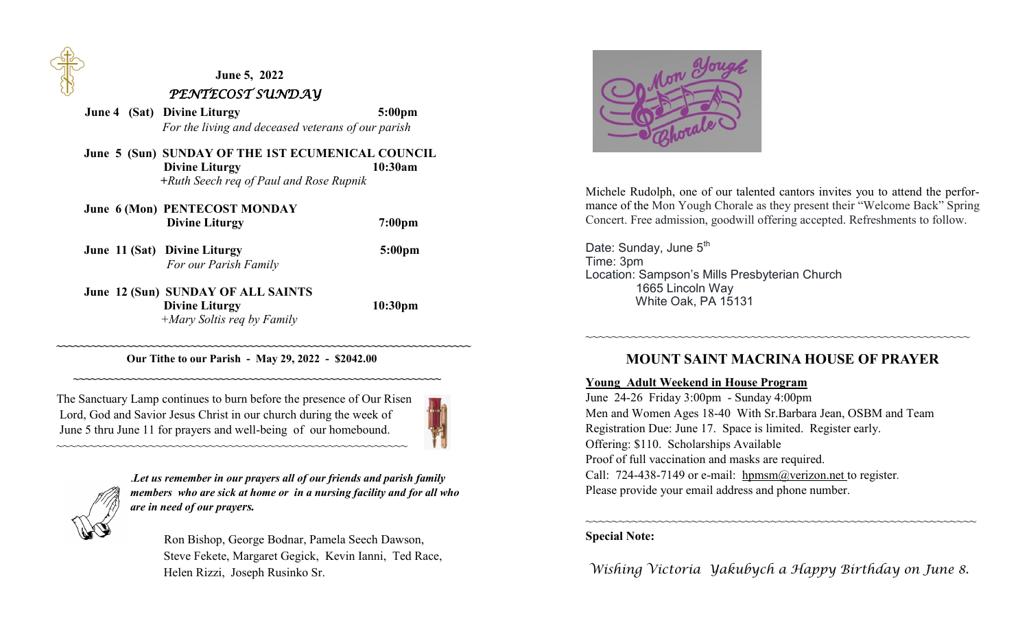

# **June 5, 2022**  *PENTECOST SUNDAY*

*<u>June 4 (Sat) Divine Liturgy 5:00pm</u> For the living and deceased veterans of our parish*

 **June 5 (Sun) SUNDAY OF THE 1ST ECUMENICAL COUNCIL Divine Liturgy** 10:30am  **+***Ruth Seech req of Paul and Rose Rupnik*

| June 6 (Mon) PENTECOST MONDAY<br><b>Divine Liturgy</b>      | 7:00 <sub>pm</sub>  |
|-------------------------------------------------------------|---------------------|
| June 11 (Sat) Divine Liturgy<br>For our Parish Family       | 5:00 <sub>pm</sub>  |
| June 12 (Sun) SUNDAY OF ALL SAINTS<br><b>Divine Liturgy</b> | 10:30 <sub>pm</sub> |

*+Mary Soltis req by Family*

#### **~~~~~~~~~~~~~~~~~~~~~~~~~~~~~~~~~~~~~~~~~~~~~~~~~~~~~~~~~~~~~~~~~~~~~~~ Our Tithe to our Parish - May 29, 2022 - \$2042.00**

 **~~~~~~~~~~~~~~~~~~~~~~~~~~~~~~~~~~~~~~~~~~~~~~~~~~~~~~~~~~~~~~~** 

The Sanctuary Lamp continues to burn before the presence of Our Risen Lord, God and Savior Jesus Christ in our church during the week of June 5 thru June 11 for prayers and well-being of our homebound.

~~~~~~~~~~~~~~~~~~~~~~~~~~~~~~~~~~~~~~~~~~~~~~~~~~~~~





.*Let us remember in our prayers all of our friends and parish family members who are sick at home or in a nursing facility and for all who are in need of our prayers.*

 Ron Bishop, George Bodnar, Pamela Seech Dawson, Steve Fekete, Margaret Gegick, Kevin Ianni, Ted Race, Helen Rizzi, Joseph Rusinko Sr.



Michele Rudolph, one of our talented cantors invites you to attend the performance of the Mon Yough Chorale as they present their "Welcome Back" Spring Concert. Free admission, goodwill offering accepted. Refreshments to follow.

Date: Sunday, June 5<sup>th</sup> Time: 3pm Location: Sampson's Mills Presbyterian Church 1665 Lincoln Way White Oak, PA 15131

## **MOUNT SAINT MACRINA HOUSE OF PRAYER**

~~~~~~~~~~~~~~~~~~~~~~~~~~~~~~~~~~~~~~~~~~~~~~~~~~~~~~~~~~

#### **Young Adult Weekend in House Program**

June 24-26 Friday 3:00pm - Sunday 4:00pm Men and Women Ages 18-40 With Sr.Barbara Jean, OSBM and Team Registration Due: June 17. Space is limited. Register early. Offering: \$110. Scholarships Available Proof of full vaccination and masks are required. Call: 724-438-7149 or e-mail: hpmsm@verizon.net to register. Please provide your email address and phone number.

### **Special Note:**

*Wishing Victoria Yakubych a Happy Birthday on June 8.*

~~~~~~~~~~~~~~~~~~~~~~~~~~~~~~~~~~~~~~~~~~~~~~~~~~~~~~~~~~~